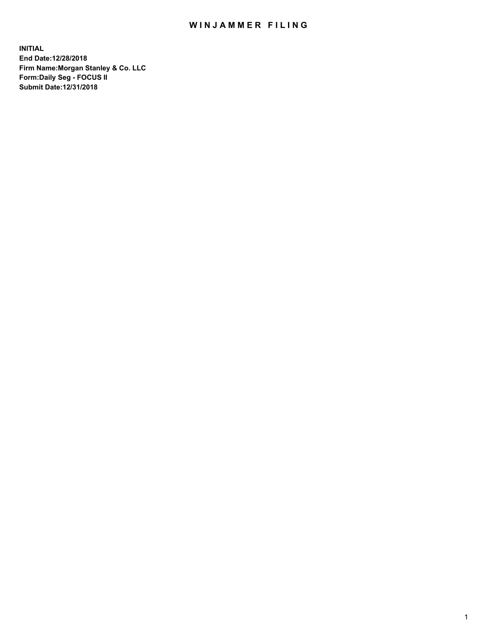## WIN JAMMER FILING

**INITIAL End Date:12/28/2018 Firm Name:Morgan Stanley & Co. LLC Form:Daily Seg - FOCUS II Submit Date:12/31/2018**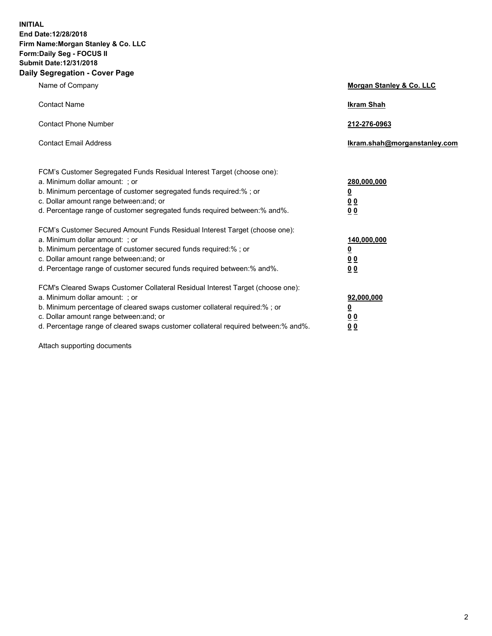**INITIAL End Date:12/28/2018 Firm Name:Morgan Stanley & Co. LLC Form:Daily Seg - FOCUS II Submit Date:12/31/2018 Daily Segregation - Cover Page**

| Name of Company                                                                                                                                                                                                                                                                                                                | Morgan Stanley & Co. LLC                                    |
|--------------------------------------------------------------------------------------------------------------------------------------------------------------------------------------------------------------------------------------------------------------------------------------------------------------------------------|-------------------------------------------------------------|
| <b>Contact Name</b>                                                                                                                                                                                                                                                                                                            | <b>Ikram Shah</b>                                           |
| <b>Contact Phone Number</b>                                                                                                                                                                                                                                                                                                    | 212-276-0963                                                |
| <b>Contact Email Address</b>                                                                                                                                                                                                                                                                                                   | Ikram.shah@morganstanley.com                                |
| FCM's Customer Segregated Funds Residual Interest Target (choose one):<br>a. Minimum dollar amount: ; or<br>b. Minimum percentage of customer segregated funds required:% ; or<br>c. Dollar amount range between: and; or<br>d. Percentage range of customer segregated funds required between:% and%.                         | 280,000,000<br><u>0</u><br>0 <sub>0</sub><br>00             |
| FCM's Customer Secured Amount Funds Residual Interest Target (choose one):<br>a. Minimum dollar amount: ; or<br>b. Minimum percentage of customer secured funds required:% ; or<br>c. Dollar amount range between: and; or<br>d. Percentage range of customer secured funds required between: % and %.                         | 140,000,000<br><u>0</u><br>0 <sub>0</sub><br>0 <sub>0</sub> |
| FCM's Cleared Swaps Customer Collateral Residual Interest Target (choose one):<br>a. Minimum dollar amount: ; or<br>b. Minimum percentage of cleared swaps customer collateral required:% ; or<br>c. Dollar amount range between: and; or<br>d. Percentage range of cleared swaps customer collateral required between:% and%. | 92,000,000<br><u>0</u><br>00<br>0 <sub>0</sub>              |

Attach supporting documents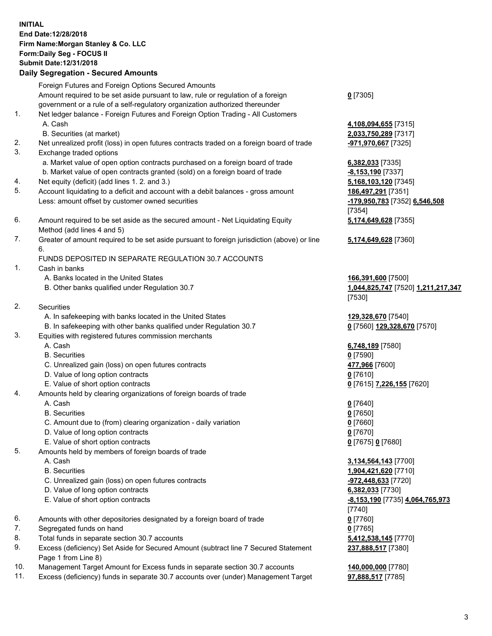## **INITIAL End Date:12/28/2018 Firm Name:Morgan Stanley & Co. LLC Form:Daily Seg - FOCUS II Submit Date:12/31/2018**

## **Daily Segregation - Secured Amounts**

Foreign Futures and Foreign Options Secured Amounts Amount required to be set aside pursuant to law, rule or regulation of a foreign government or a rule of a self-regulatory organization authorized thereunder

- 1. Net ledger balance Foreign Futures and Foreign Option Trading All Customers A. Cash **4,108,094,655** [7315]
	- B. Securities (at market) **2,033,750,289** [7317]
- 2. Net unrealized profit (loss) in open futures contracts traded on a foreign board of trade **-971,970,667** [7325]
- 3. Exchange traded options
	- a. Market value of open option contracts purchased on a foreign board of trade **6,382,033** [7335]
	- b. Market value of open contracts granted (sold) on a foreign board of trade **-8,153,190** [7337]
- 4. Net equity (deficit) (add lines 1. 2. and 3.) **5,168,103,120** [7345]
- 5. Account liquidating to a deficit and account with a debit balances gross amount **186,497,291** [7351] Less: amount offset by customer owned securities **-179,950,783** [7352] **6,546,508**
- 6. Amount required to be set aside as the secured amount Net Liquidating Equity Method (add lines 4 and 5)
- 7. Greater of amount required to be set aside pursuant to foreign jurisdiction (above) or line 6.

## FUNDS DEPOSITED IN SEPARATE REGULATION 30.7 ACCOUNTS

- 1. Cash in banks
	- A. Banks located in the United States **166,391,600** [7500]
	- B. Other banks qualified under Regulation 30.7 **1,044,825,747** [7520] **1,211,217,347**
- 2. Securities
	- A. In safekeeping with banks located in the United States **129,328,670** [7540]
	- B. In safekeeping with other banks qualified under Regulation 30.7 **0** [7560] **129,328,670** [7570]
- 3. Equities with registered futures commission merchants
	-
	- B. Securities **0** [7590]
	- C. Unrealized gain (loss) on open futures contracts **477,966** [7600]
	- D. Value of long option contracts **0** [7610]
- E. Value of short option contracts **0** [7615] **7,226,155** [7620]
- 4. Amounts held by clearing organizations of foreign boards of trade
	- A. Cash **0** [7640]
	- B. Securities **0** [7650]
	- C. Amount due to (from) clearing organization daily variation **0** [7660]
	- D. Value of long option contracts **0** [7670]
	- E. Value of short option contracts **0** [7675] **0** [7680]
- 5. Amounts held by members of foreign boards of trade
	-
	-
	- C. Unrealized gain (loss) on open futures contracts **-972,448,633** [7720]
	- D. Value of long option contracts **6,382,033** [7730]
	- E. Value of short option contracts **-8,153,190** [7735] **4,064,765,973**
- 6. Amounts with other depositories designated by a foreign board of trade **0** [7760]
- 7. Segregated funds on hand **0** [7765]
- 8. Total funds in separate section 30.7 accounts **5,412,538,145** [7770]
- 9. Excess (deficiency) Set Aside for Secured Amount (subtract line 7 Secured Statement Page 1 from Line 8)
- 10. Management Target Amount for Excess funds in separate section 30.7 accounts **140,000,000** [7780]
- 11. Excess (deficiency) funds in separate 30.7 accounts over (under) Management Target **97,888,517** [7785]

**0** [7305]

[7354] **5,174,649,628** [7355]

**5,174,649,628** [7360]

[7530]

A. Cash **6,748,189** [7580]

 A. Cash **3,134,564,143** [7700] B. Securities **1,904,421,620** [7710] [7740] **237,888,517** [7380]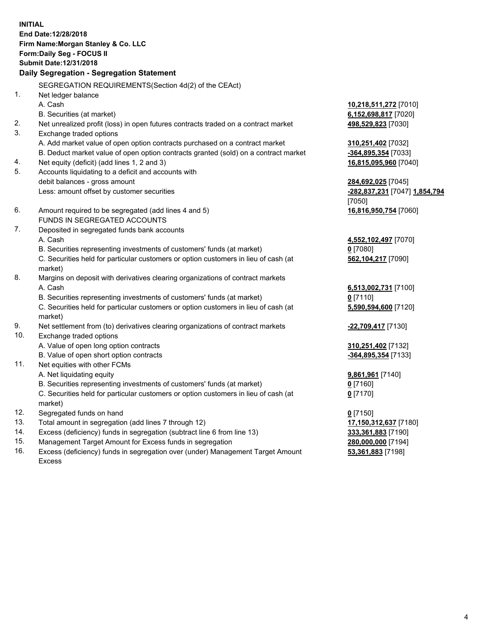**INITIAL End Date:12/28/2018 Firm Name:Morgan Stanley & Co. LLC Form:Daily Seg - FOCUS II Submit Date:12/31/2018 Daily Segregation - Segregation Statement** SEGREGATION REQUIREMENTS(Section 4d(2) of the CEAct) 1. Net ledger balance A. Cash **10,218,511,272** [7010] B. Securities (at market) **6,152,698,817** [7020] 2. Net unrealized profit (loss) in open futures contracts traded on a contract market **498,529,823** [7030] 3. Exchange traded options A. Add market value of open option contracts purchased on a contract market **310,251,402** [7032] B. Deduct market value of open option contracts granted (sold) on a contract market **-364,895,354** [7033] 4. Net equity (deficit) (add lines 1, 2 and 3) **16,815,095,960** [7040] 5. Accounts liquidating to a deficit and accounts with debit balances - gross amount **284,692,025** [7045] Less: amount offset by customer securities **-282,837,231** [7047] **1,854,794** [7050] 6. Amount required to be segregated (add lines 4 and 5) **16,816,950,754** [7060] FUNDS IN SEGREGATED ACCOUNTS 7. Deposited in segregated funds bank accounts A. Cash **4,552,102,497** [7070] B. Securities representing investments of customers' funds (at market) **0** [7080] C. Securities held for particular customers or option customers in lieu of cash (at market) **562,104,217** [7090] 8. Margins on deposit with derivatives clearing organizations of contract markets A. Cash **6,513,002,731** [7100] B. Securities representing investments of customers' funds (at market) **0** [7110] C. Securities held for particular customers or option customers in lieu of cash (at market) **5,590,594,600** [7120] 9. Net settlement from (to) derivatives clearing organizations of contract markets **-22,709,417** [7130] 10. Exchange traded options A. Value of open long option contracts **310,251,402** [7132] B. Value of open short option contracts **-364,895,354** [7133] 11. Net equities with other FCMs A. Net liquidating equity **9,861,961** [7140] B. Securities representing investments of customers' funds (at market) **0** [7160] C. Securities held for particular customers or option customers in lieu of cash (at market) **0** [7170] 12. Segregated funds on hand **0** [7150] 13. Total amount in segregation (add lines 7 through 12) **17,150,312,637** [7180] 14. Excess (deficiency) funds in segregation (subtract line 6 from line 13) **333,361,883** [7190]

- 15. Management Target Amount for Excess funds in segregation **280,000,000** [7194]
- 16. Excess (deficiency) funds in segregation over (under) Management Target Amount Excess

**53,361,883** [7198]